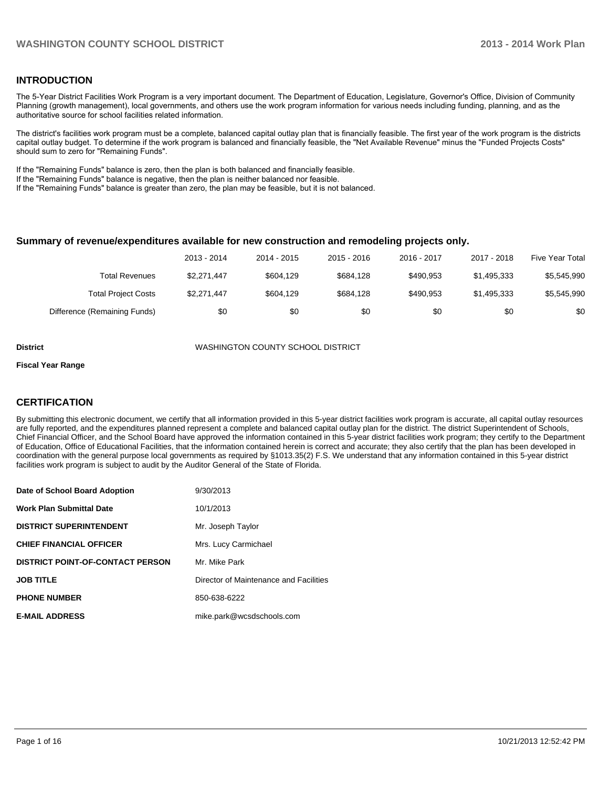### **INTRODUCTION**

The 5-Year District Facilities Work Program is a very important document. The Department of Education, Legislature, Governor's Office, Division of Community Planning (growth management), local governments, and others use the work program information for various needs including funding, planning, and as the authoritative source for school facilities related information.

The district's facilities work program must be a complete, balanced capital outlay plan that is financially feasible. The first year of the work program is the districts capital outlay budget. To determine if the work program is balanced and financially feasible, the "Net Available Revenue" minus the "Funded Projects Costs" should sum to zero for "Remaining Funds".

If the "Remaining Funds" balance is zero, then the plan is both balanced and financially feasible.

If the "Remaining Funds" balance is negative, then the plan is neither balanced nor feasible.

If the "Remaining Funds" balance is greater than zero, the plan may be feasible, but it is not balanced.

### **Summary of revenue/expenditures available for new construction and remodeling projects only.**

|                              | 2013 - 2014 | 2014 - 2015 | $2015 - 2016$ | 2016 - 2017 | 2017 - 2018 | <b>Five Year Total</b> |
|------------------------------|-------------|-------------|---------------|-------------|-------------|------------------------|
| Total Revenues               | \$2.271.447 | \$604.129   | \$684.128     | \$490.953   | \$1.495.333 | \$5,545,990            |
| <b>Total Project Costs</b>   | \$2.271.447 | \$604.129   | \$684.128     | \$490.953   | \$1,495,333 | \$5,545,990            |
| Difference (Remaining Funds) | \$0         | \$0         | \$0           | \$0         | \$0         | \$0                    |

**District** WASHINGTON COUNTY SCHOOL DISTRICT

#### **Fiscal Year Range**

### **CERTIFICATION**

By submitting this electronic document, we certify that all information provided in this 5-year district facilities work program is accurate, all capital outlay resources are fully reported, and the expenditures planned represent a complete and balanced capital outlay plan for the district. The district Superintendent of Schools, Chief Financial Officer, and the School Board have approved the information contained in this 5-year district facilities work program; they certify to the Department of Education, Office of Educational Facilities, that the information contained herein is correct and accurate; they also certify that the plan has been developed in coordination with the general purpose local governments as required by §1013.35(2) F.S. We understand that any information contained in this 5-year district facilities work program is subject to audit by the Auditor General of the State of Florida.

| Date of School Board Adoption           | 9/30/2013                              |
|-----------------------------------------|----------------------------------------|
| <b>Work Plan Submittal Date</b>         | 10/1/2013                              |
| <b>DISTRICT SUPERINTENDENT</b>          | Mr. Joseph Taylor                      |
| <b>CHIEF FINANCIAL OFFICER</b>          | Mrs. Lucy Carmichael                   |
| <b>DISTRICT POINT-OF-CONTACT PERSON</b> | Mr. Mike Park                          |
| <b>JOB TITLE</b>                        | Director of Maintenance and Facilities |
| <b>PHONE NUMBER</b>                     | 850-638-6222                           |
| <b>E-MAIL ADDRESS</b>                   | mike.park@wcsdschools.com              |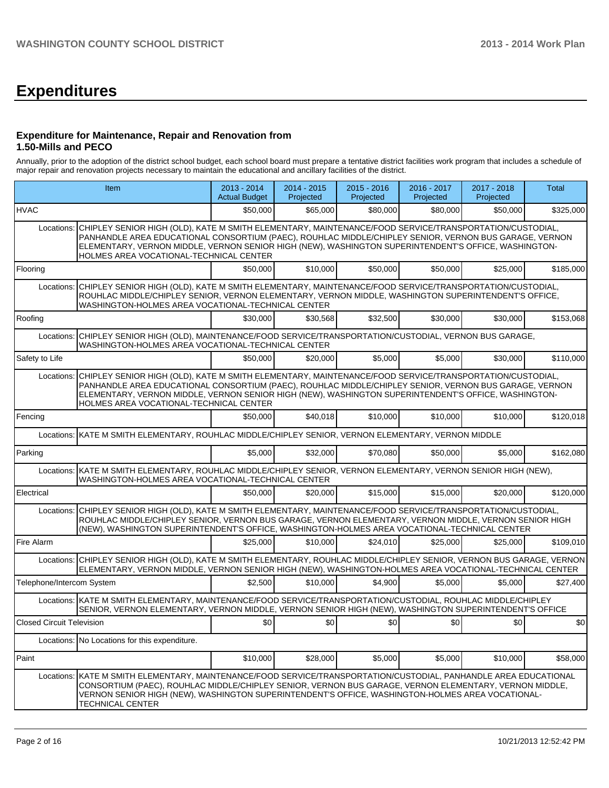# **Expenditures**

### **Expenditure for Maintenance, Repair and Renovation from 1.50-Mills and PECO**

Annually, prior to the adoption of the district school budget, each school board must prepare a tentative district facilities work program that includes a schedule of major repair and renovation projects necessary to maintain the educational and ancillary facilities of the district.

|                                  | Item                                                                                                                                                                                                                                                                                                                                                                |          | 2014 - 2015<br>Projected | 2015 - 2016<br>Projected | 2016 - 2017<br>Projected | 2017 - 2018<br>Projected | Total     |
|----------------------------------|---------------------------------------------------------------------------------------------------------------------------------------------------------------------------------------------------------------------------------------------------------------------------------------------------------------------------------------------------------------------|----------|--------------------------|--------------------------|--------------------------|--------------------------|-----------|
| <b>HVAC</b>                      |                                                                                                                                                                                                                                                                                                                                                                     | \$50,000 | \$65,000                 | \$80,000                 | \$80,000                 | \$50,000                 | \$325,000 |
| Locations:                       | CHIPLEY SENIOR HIGH (OLD), KATE M SMITH ELEMENTARY, MAINTENANCE/FOOD SERVICE/TRANSPORTATION/CUSTODIAL,<br>PANHANDLE AREA EDUCATIONAL CONSORTIUM (PAEC), ROUHLAC MIDDLE/CHIPLEY SENIOR, VERNON BUS GARAGE, VERNON<br>ELEMENTARY, VERNON MIDDLE, VERNON SENIOR HIGH (NEW), WASHINGTON SUPERINTENDENT'S OFFICE, WASHINGTON-<br>HOLMES AREA VOCATIONAL-TECHNICAL CENTER |          |                          |                          |                          |                          |           |
| Flooring                         |                                                                                                                                                                                                                                                                                                                                                                     | \$50,000 | \$10,000                 | \$50,000                 | \$50,000                 | \$25,000                 | \$185,000 |
| Locations:                       | CHIPLEY SENIOR HIGH (OLD), KATE M SMITH ELEMENTARY, MAINTENANCE/FOOD SERVICE/TRANSPORTATION/CUSTODIAL,<br>ROUHLAC MIDDLE/CHIPLEY SENIOR, VERNON ELEMENTARY, VERNON MIDDLE, WASHINGTON SUPERINTENDENT'S OFFICE,<br>WASHINGTON-HOLMES AREA VOCATIONAL-TECHNICAL CENTER                                                                                                |          |                          |                          |                          |                          |           |
| Roofing                          |                                                                                                                                                                                                                                                                                                                                                                     | \$30,000 | \$30,568                 | \$32,500                 | \$30,000                 | \$30,000                 | \$153,068 |
| Locations:                       | CHIPLEY SENIOR HIGH (OLD), MAINTENANCE/FOOD SERVICE/TRANSPORTATION/CUSTODIAL, VERNON BUS GARAGE,<br>WASHINGTON-HOLMES AREA VOCATIONAL-TECHNICAL CENTER                                                                                                                                                                                                              |          |                          |                          |                          |                          |           |
| Safety to Life                   |                                                                                                                                                                                                                                                                                                                                                                     | \$50,000 | \$20,000                 | \$5,000                  | \$5,000                  | \$30,000                 | \$110,000 |
| Locations:                       | CHIPLEY SENIOR HIGH (OLD), KATE M SMITH ELEMENTARY, MAINTENANCE/FOOD SERVICE/TRANSPORTATION/CUSTODIAL,<br>PANHANDLE AREA EDUCATIONAL CONSORTIUM (PAEC), ROUHLAC MIDDLE/CHIPLEY SENIOR, VERNON BUS GARAGE, VERNON<br>ELEMENTARY, VERNON MIDDLE, VERNON SENIOR HIGH (NEW), WASHINGTON SUPERINTENDENT'S OFFICE, WASHINGTON-<br>HOLMES AREA VOCATIONAL-TECHNICAL CENTER |          |                          |                          |                          |                          |           |
| Fencing                          |                                                                                                                                                                                                                                                                                                                                                                     | \$50,000 | \$40,018                 | \$10,000                 | \$10,000                 | \$10,000                 | \$120,018 |
|                                  | Locations: KATE M SMITH ELEMENTARY, ROUHLAC MIDDLE/CHIPLEY SENIOR, VERNON ELEMENTARY, VERNON MIDDLE                                                                                                                                                                                                                                                                 |          |                          |                          |                          |                          |           |
| Parking                          |                                                                                                                                                                                                                                                                                                                                                                     | \$5,000  | \$32,000                 | \$70,080                 | \$50,000                 | \$5,000                  | \$162,080 |
| Locations:                       | KATE M SMITH ELEMENTARY, ROUHLAC MIDDLE/CHIPLEY SENIOR, VERNON ELEMENTARY, VERNON SENIOR HIGH (NEW),<br>WASHINGTON-HOLMES AREA VOCATIONAL-TECHNICAL CENTER                                                                                                                                                                                                          |          |                          |                          |                          |                          |           |
| Electrical                       |                                                                                                                                                                                                                                                                                                                                                                     | \$50,000 | \$20,000                 | \$15,000                 | \$15,000                 | \$20,000                 | \$120,000 |
| Locations:                       | CHIPLEY SENIOR HIGH (OLD), KATE M SMITH ELEMENTARY, MAINTENANCE/FOOD SERVICE/TRANSPORTATION/CUSTODIAL,<br>ROUHLAC MIDDLE/CHIPLEY SENIOR, VERNON BUS GARAGE, VERNON ELEMENTARY, VERNON MIDDLE, VERNON SENIOR HIGH<br>(NEW), WASHINGTON SUPERINTENDENT'S OFFICE, WASHINGTON-HOLMES AREA VOCATIONAL-TECHNICAL CENTER                                                   |          |                          |                          |                          |                          |           |
| Fire Alarm                       |                                                                                                                                                                                                                                                                                                                                                                     | \$25,000 | \$10,000                 | \$24,010                 | \$25,000                 | \$25,000                 | \$109,010 |
| Locations:                       | CHIPLEY SENIOR HIGH (OLD), KATE M SMITH ELEMENTARY, ROUHLAC MIDDLE/CHIPLEY SENIOR, VERNON BUS GARAGE, VERNON<br>ELEMENTARY, VERNON MIDDLE, VERNON SENIOR HIGH (NEW), WASHINGTON-HOLMES AREA VOCATIONAL-TECHNICAL CENTER                                                                                                                                             |          |                          |                          |                          |                          |           |
| Telephone/Intercom System        |                                                                                                                                                                                                                                                                                                                                                                     | \$2,500  | \$10,000                 | \$4.900                  | \$5,000                  | \$5,000                  | \$27,400  |
|                                  | Locations: KATE M SMITH ELEMENTARY, MAINTENANCE/FOOD SERVICE/TRANSPORTATION/CUSTODIAL, ROUHLAC MIDDLE/CHIPLEY<br>SENIOR, VERNON ELEMENTARY, VERNON MIDDLE, VERNON SENIOR HIGH (NEW), WASHINGTON SUPERINTENDENT'S OFFICE                                                                                                                                             |          |                          |                          |                          |                          |           |
| <b>Closed Circuit Television</b> |                                                                                                                                                                                                                                                                                                                                                                     | \$0      | \$0                      | \$0                      | \$0                      | \$0                      | \$0       |
|                                  | Locations: No Locations for this expenditure.                                                                                                                                                                                                                                                                                                                       |          |                          |                          |                          |                          |           |
| Paint                            |                                                                                                                                                                                                                                                                                                                                                                     | \$10,000 | \$28,000                 | \$5,000                  | \$5,000                  | \$10,000                 | \$58,000  |
| Locations:                       | KATE M SMITH ELEMENTARY, MAINTENANCE/FOOD SERVICE/TRANSPORTATION/CUSTODIAL, PANHANDLE AREA EDUCATIONAL<br>CONSORTIUM (PAEC), ROUHLAC MIDDLE/CHIPLEY SENIOR, VERNON BUS GARAGE, VERNON ELEMENTARY, VERNON MIDDLE,<br>VERNON SENIOR HIGH (NEW), WASHINGTON SUPERINTENDENT'S OFFICE, WASHINGTON-HOLMES AREA VOCATIONAL-<br><b>TECHNICAL CENTER</b>                     |          |                          |                          |                          |                          |           |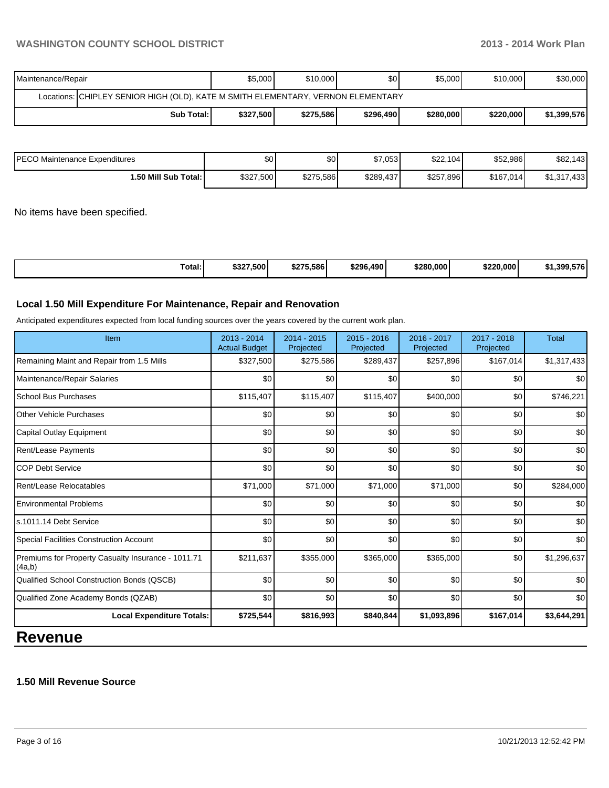# **WASHINGTON COUNTY SCHOOL DISTRICT 2013 - 2014 Work Plan**

| Maintenance/Repair                                                               | \$5,000   | \$10,000  | \$0 <sub>1</sub> | \$5,000   | \$10,000  | \$30,000    |  |  |  |
|----------------------------------------------------------------------------------|-----------|-----------|------------------|-----------|-----------|-------------|--|--|--|
| Locations: CHIPLEY SENIOR HIGH (OLD), KATE M SMITH ELEMENTARY, VERNON ELEMENTARY |           |           |                  |           |           |             |  |  |  |
| Sub Total: I                                                                     | \$327,500 | \$275.586 | \$296,490        | \$280,000 | \$220,000 | \$1,399,576 |  |  |  |

| IPECO Maintenance Expenditures | \$0       | \$0       | \$7,053   | \$22,104  | \$52,986  | \$82,143    |
|--------------------------------|-----------|-----------|-----------|-----------|-----------|-------------|
| 1.50 Mill Sub Total: I         | \$327,500 | \$275,586 | \$289,437 | \$257,896 | \$167,014 | \$1,317,433 |

No items have been specified.

| Total: | \$327.500 | \$275.586 | \$296.490 | \$280,000 | \$220.000<br>ЭZ | $-77$<br>\$1,399.57' |
|--------|-----------|-----------|-----------|-----------|-----------------|----------------------|
|--------|-----------|-----------|-----------|-----------|-----------------|----------------------|

### **Local 1.50 Mill Expenditure For Maintenance, Repair and Renovation**

Anticipated expenditures expected from local funding sources over the years covered by the current work plan.

| Remaining Maint and Repair from 1.5 Mills                    | <b>Actual Budget</b><br>\$327,500 | Projected<br>\$275,586 | Projected<br>\$289,437 | Projected<br>\$257,896 | Projected<br>\$167,014 | \$1,317,433 |
|--------------------------------------------------------------|-----------------------------------|------------------------|------------------------|------------------------|------------------------|-------------|
|                                                              |                                   |                        |                        |                        |                        |             |
| Maintenance/Repair Salaries                                  | \$0                               | \$0                    | \$0                    | \$0                    | \$0                    | \$0         |
| <b>School Bus Purchases</b>                                  | \$115,407                         | \$115,407              | \$115,407              | \$400,000              | \$0                    | \$746,221   |
| Other Vehicle Purchases                                      | \$0                               | \$0                    | \$0                    | \$0                    | \$0                    | \$0         |
| Capital Outlay Equipment                                     | \$0                               | \$0                    | \$0                    | \$0                    | \$0                    | \$0         |
| Rent/Lease Payments                                          | \$0                               | \$0                    | \$0                    | \$0                    | \$0                    | \$0         |
| <b>COP Debt Service</b>                                      | \$0                               | \$0                    | \$0                    | \$0                    | \$0                    | \$0         |
| Rent/Lease Relocatables                                      | \$71,000                          | \$71,000               | \$71,000               | \$71,000               | \$0                    | \$284,000   |
| <b>Environmental Problems</b>                                | \$0                               | \$0                    | \$0                    | \$0                    | \$0                    | \$0         |
| ls.1011.14 Debt Service                                      | \$0                               | \$0                    | \$0                    | \$0                    | \$0                    | \$0         |
| Special Facilities Construction Account                      | \$0                               | \$0                    | \$0                    | \$0                    | \$0                    | \$0         |
| Premiums for Property Casualty Insurance - 1011.71<br>(4a,b) | \$211,637                         | \$355,000              | \$365,000              | \$365,000              | \$0                    | \$1,296,637 |
| Qualified School Construction Bonds (QSCB)                   | \$0                               | \$0                    | \$0                    | \$0                    | \$0                    | \$0         |
| Qualified Zone Academy Bonds (QZAB)                          | \$0                               | \$0                    | \$0                    | \$0                    | \$0                    | \$0         |
| <b>Local Expenditure Totals:</b>                             | \$725,544                         | \$816,993              | \$840,844              | \$1,093,896            | \$167,014              | \$3,644,291 |

# **Revenue**

## **1.50 Mill Revenue Source**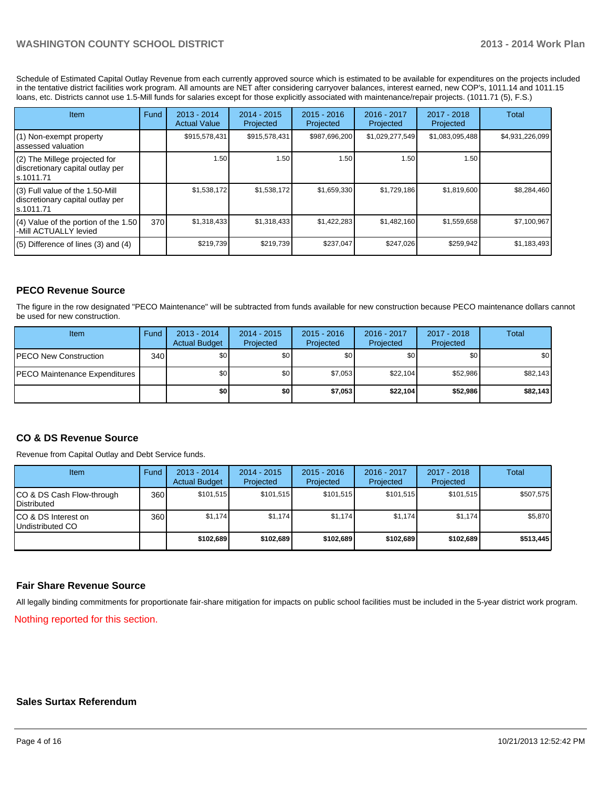### **WASHINGTON COUNTY SCHOOL DISTRICT 2013 - 2014 Work Plan**

Schedule of Estimated Capital Outlay Revenue from each currently approved source which is estimated to be available for expenditures on the projects included in the tentative district facilities work program. All amounts are NET after considering carryover balances, interest earned, new COP's, 1011.14 and 1011.15 loans, etc. Districts cannot use 1.5-Mill funds for salaries except for those explicitly associated with maintenance/repair projects. (1011.71 (5), F.S.)

| Item                                                                                | Fund | 2013 - 2014<br><b>Actual Value</b> | 2014 - 2015<br>Projected | $2015 - 2016$<br>Projected | 2016 - 2017<br>Projected | $2017 - 2018$<br>Projected | Total           |
|-------------------------------------------------------------------------------------|------|------------------------------------|--------------------------|----------------------------|--------------------------|----------------------------|-----------------|
| $(1)$ Non-exempt property<br>lassessed valuation                                    |      | \$915,578,431                      | \$915,578,431            | \$987,696,200              | \$1,029,277,549          | \$1,083,095,488            | \$4,931,226,099 |
| (2) The Millege projected for<br>discretionary capital outlay per<br>ls.1011.71     |      | 1.50                               | 1.50                     | 1.50                       | 1.50                     | 1.50                       |                 |
| $(3)$ Full value of the 1.50-Mill<br>discretionary capital outlay per<br>ls.1011.71 |      | \$1,538,172                        | \$1,538,172              | \$1,659,330                | \$1,729,186              | \$1,819,600                | \$8,284,460     |
| $(4)$ Value of the portion of the 1.50<br>-Mill ACTUALLY levied                     | 370  | \$1,318,433                        | \$1,318,433              | \$1,422,283                | \$1,482,160              | \$1,559,658                | \$7,100,967     |
| $(5)$ Difference of lines $(3)$ and $(4)$                                           |      | \$219,739                          | \$219,739                | \$237,047                  | \$247,026                | \$259,942                  | \$1,183,493     |

### **PECO Revenue Source**

The figure in the row designated "PECO Maintenance" will be subtracted from funds available for new construction because PECO maintenance dollars cannot be used for new construction.

| Item                                  | Fund | $2013 - 2014$<br><b>Actual Budget</b> | $2014 - 2015$<br>Projected | $2015 - 2016$<br>Projected | 2016 - 2017<br>Projected | 2017 - 2018<br>Projected | Total    |
|---------------------------------------|------|---------------------------------------|----------------------------|----------------------------|--------------------------|--------------------------|----------|
| <b>IPECO New Construction</b>         | 340  | \$0 <sub>1</sub>                      | \$0                        | \$0                        | \$0                      | \$0                      | \$0      |
| <b>IPECO Maintenance Expenditures</b> |      | \$0 <sub>1</sub>                      | \$0                        | \$7,053                    | \$22.104                 | \$52,986                 | \$82,143 |
|                                       |      | \$0                                   | \$0                        | \$7.053                    | \$22.104                 | \$52,986                 | \$82,143 |

### **CO & DS Revenue Source**

Revenue from Capital Outlay and Debt Service funds.

| Item                                              | Fund | 2013 - 2014<br><b>Actual Budget</b> | $2014 - 2015$<br>Projected | $2015 - 2016$<br>Projected | $2016 - 2017$<br>Projected | $2017 - 2018$<br>Projected | Total     |
|---------------------------------------------------|------|-------------------------------------|----------------------------|----------------------------|----------------------------|----------------------------|-----------|
| CO & DS Cash Flow-through<br><b>I</b> Distributed | 360  | \$101.515                           | \$101.515                  | \$101.515                  | \$101.515                  | \$101.515                  | \$507,575 |
| ICO & DS Interest on<br>Undistributed CO          | 360  | \$1,174                             | \$1,174                    | \$1,174                    | \$1.174                    | \$1,174                    | \$5,870   |
|                                                   |      | \$102,689                           | \$102,689                  | \$102.689                  | \$102,689                  | \$102,689                  | \$513,445 |

### **Fair Share Revenue Source**

All legally binding commitments for proportionate fair-share mitigation for impacts on public school facilities must be included in the 5-year district work program.

Nothing reported for this section.

#### **Sales Surtax Referendum**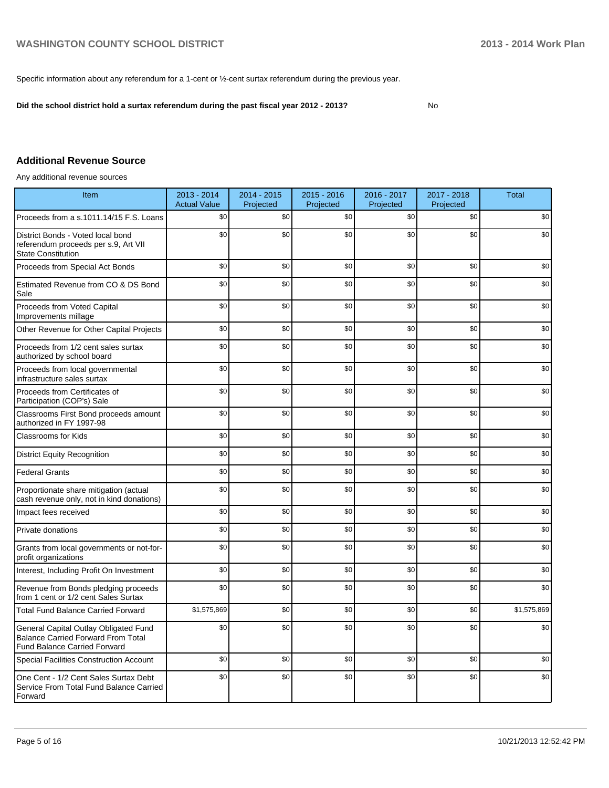Specific information about any referendum for a 1-cent or ½-cent surtax referendum during the previous year.

**Did the school district hold a surtax referendum during the past fiscal year 2012 - 2013?**

No

## **Additional Revenue Source**

Any additional revenue sources

| Item                                                                                                                      | 2013 - 2014<br><b>Actual Value</b> | 2014 - 2015<br>Projected | $2015 - 2016$<br>Projected | 2016 - 2017<br>Projected | 2017 - 2018<br>Projected | <b>Total</b> |
|---------------------------------------------------------------------------------------------------------------------------|------------------------------------|--------------------------|----------------------------|--------------------------|--------------------------|--------------|
| Proceeds from a s.1011.14/15 F.S. Loans                                                                                   | \$0                                | \$0                      | \$0                        | \$0                      | \$0                      | \$0          |
| District Bonds - Voted local bond<br>referendum proceeds per s.9, Art VII<br><b>State Constitution</b>                    | \$0                                | \$0                      | \$0                        | \$0                      | \$0                      | \$0          |
| Proceeds from Special Act Bonds                                                                                           | \$0                                | \$0                      | \$0                        | \$0                      | \$0                      | \$0          |
| Estimated Revenue from CO & DS Bond<br>Sale                                                                               | \$0                                | \$0                      | \$0                        | \$0                      | \$0                      | \$0          |
| Proceeds from Voted Capital<br>Improvements millage                                                                       | \$0                                | \$0                      | \$0                        | \$0                      | \$0                      | \$0          |
| Other Revenue for Other Capital Projects                                                                                  | \$0                                | \$0                      | \$0                        | \$0                      | \$0                      | \$0          |
| Proceeds from 1/2 cent sales surtax<br>authorized by school board                                                         | \$0                                | \$0                      | \$0                        | \$0                      | \$0                      | \$0          |
| Proceeds from local governmental<br>infrastructure sales surtax                                                           | \$0                                | \$0                      | \$0                        | \$0                      | \$0                      | \$0          |
| Proceeds from Certificates of<br>Participation (COP's) Sale                                                               | \$0                                | \$0                      | \$0                        | \$0                      | \$0                      | \$0          |
| Classrooms First Bond proceeds amount<br>authorized in FY 1997-98                                                         | \$0                                | \$0                      | \$0                        | \$0                      | \$0                      | \$0          |
| Classrooms for Kids                                                                                                       | \$0                                | \$0                      | \$0                        | \$0                      | \$0                      | \$0          |
| <b>District Equity Recognition</b>                                                                                        | \$0                                | \$0                      | \$0                        | \$0                      | \$0                      | \$0          |
| <b>Federal Grants</b>                                                                                                     | \$0                                | \$0                      | \$0                        | \$0                      | \$0                      | \$0          |
| Proportionate share mitigation (actual<br>cash revenue only, not in kind donations)                                       | \$0                                | \$0                      | \$0                        | \$0                      | \$0                      | \$0          |
| Impact fees received                                                                                                      | \$0                                | \$0                      | \$0                        | \$0                      | \$0                      | \$0          |
| Private donations                                                                                                         | \$0                                | \$0                      | \$0                        | \$0                      | \$0                      | \$0          |
| Grants from local governments or not-for-<br>profit organizations                                                         | \$0                                | \$0                      | \$0                        | \$0                      | \$0                      | \$0          |
| Interest, Including Profit On Investment                                                                                  | \$0                                | \$0                      | \$0                        | \$0                      | \$0                      | \$0          |
| Revenue from Bonds pledging proceeds<br>from 1 cent or 1/2 cent Sales Surtax                                              | \$0                                | \$0                      | \$0                        | \$0                      | \$0                      | \$0          |
| <b>Total Fund Balance Carried Forward</b>                                                                                 | \$1,575,869                        | \$0                      | \$0                        | \$0                      | \$0                      | \$1,575,869  |
| General Capital Outlay Obligated Fund<br><b>Balance Carried Forward From Total</b><br><b>Fund Balance Carried Forward</b> | \$0                                | \$0                      | \$0                        | \$0                      | \$0                      | \$0          |
| Special Facilities Construction Account                                                                                   | \$0                                | \$0                      | \$0                        | \$0                      | \$0                      | \$0          |
| One Cent - 1/2 Cent Sales Surtax Debt<br>Service From Total Fund Balance Carried<br>Forward                               | \$0                                | \$0                      | \$0                        | \$0                      | \$0                      | \$0          |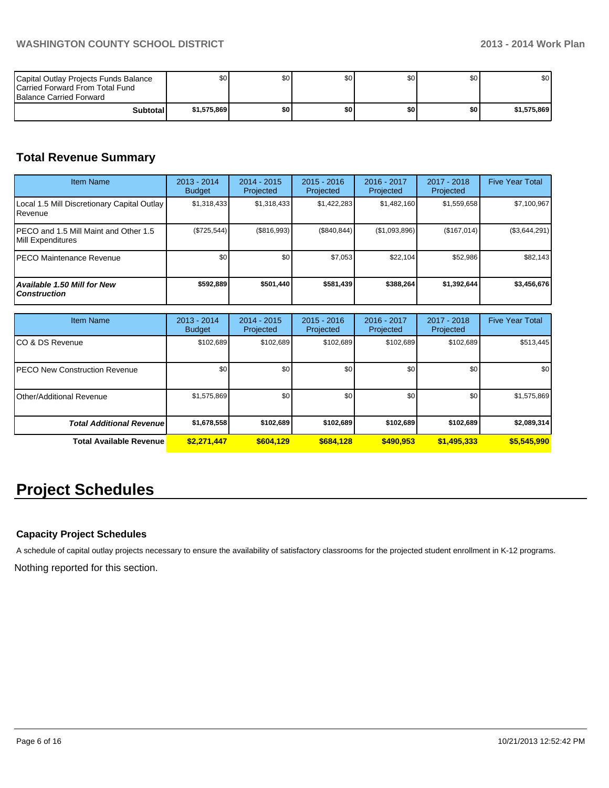| Capital Outlay Projects Funds Balance<br>Carried Forward From Total Fund<br><b>Balance Carried Forward</b> | \$0         | \$0 | \$0 <sub>1</sub> | \$0   | \$0 | \$0 <sub>1</sub> |
|------------------------------------------------------------------------------------------------------------|-------------|-----|------------------|-------|-----|------------------|
| <b>Subtotal</b>                                                                                            | \$1,575,869 | \$0 | \$0              | \$0 I | \$O | \$1,575,869      |

# **Total Revenue Summary**

| <b>Item Name</b>                                           | 2013 - 2014<br><b>Budget</b> | $2014 - 2015$<br>Projected | $2015 - 2016$<br>Projected | $2016 - 2017$<br>Projected | $2017 - 2018$<br>Projected | <b>Five Year Total</b> |
|------------------------------------------------------------|------------------------------|----------------------------|----------------------------|----------------------------|----------------------------|------------------------|
| Local 1.5 Mill Discretionary Capital Outlay<br>l Revenue   | \$1,318,433                  | \$1,318,433                | \$1,422,283                | \$1,482,160                | \$1,559,658                | \$7,100,967            |
| PECO and 1.5 Mill Maint and Other 1.5<br>Mill Expenditures | (\$725,544)                  | (\$816,993)                | (S840.844)                 | (S1,093,896)               | (\$167,014)                | (\$3,644,291)          |
| IPECO Maintenance Revenue                                  | \$0                          | \$0 <sub>1</sub>           | \$7,053                    | \$22.104                   | \$52.986                   | \$82.143               |
| Available 1.50 Mill for New<br><b>Construction</b>         | \$592,889                    | \$501.440                  | \$581.439                  | \$388,264                  | \$1,392,644                | \$3,456,676            |

| <b>Item Name</b>                      | 2013 - 2014<br><b>Budget</b> | $2014 - 2015$<br>Projected | $2015 - 2016$<br>Projected | $2016 - 2017$<br>Projected | $2017 - 2018$<br>Projected | <b>Five Year Total</b> |
|---------------------------------------|------------------------------|----------------------------|----------------------------|----------------------------|----------------------------|------------------------|
| ICO & DS Revenue                      | \$102,689                    | \$102,689                  | \$102.689                  | \$102,689                  | \$102,689                  | \$513,445              |
| <b>IPECO New Construction Revenue</b> | \$0                          | \$0                        | \$0                        | \$0                        | \$0 <sub>1</sub>           | \$0 <sub>1</sub>       |
| IOther/Additional Revenue             | \$1,575,869                  | \$0                        | \$0                        | \$0 <sub>1</sub>           | \$0 <sub>1</sub>           | \$1,575,869            |
| <b>Total Additional Revenuel</b>      | \$1,678,558                  | \$102,689                  | \$102.689                  | \$102,689                  | \$102.689                  | \$2,089,314            |
| <b>Total Available Revenue</b>        | \$2,271,447                  | \$604.129                  | \$684.128                  | \$490.953                  | \$1,495,333                | \$5,545,990            |

# **Project Schedules**

# **Capacity Project Schedules**

A schedule of capital outlay projects necessary to ensure the availability of satisfactory classrooms for the projected student enrollment in K-12 programs.

Nothing reported for this section.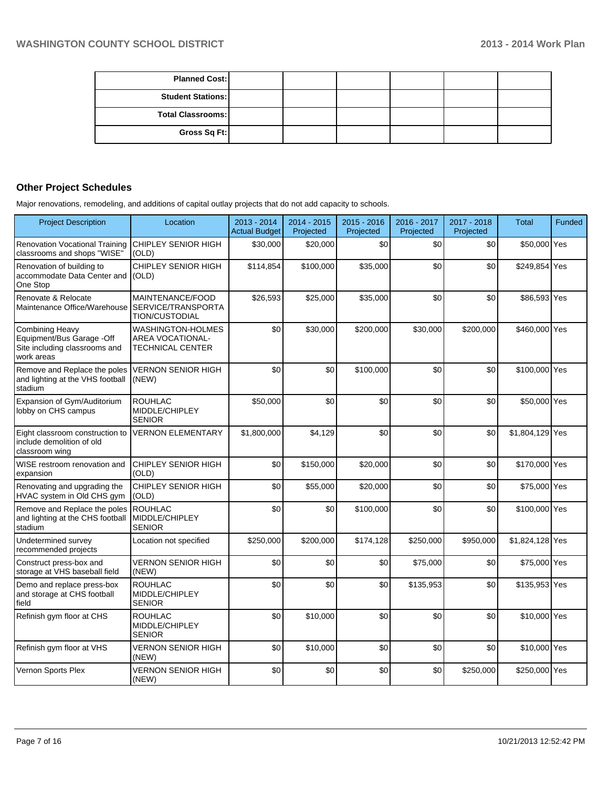| <b>Planned Cost:</b>     |  |  |  |
|--------------------------|--|--|--|
| <b>Student Stations:</b> |  |  |  |
| <b>Total Classrooms:</b> |  |  |  |
| Gross Sq Ft:             |  |  |  |

# **Other Project Schedules**

Major renovations, remodeling, and additions of capital outlay projects that do not add capacity to schools.

| <b>Project Description</b>                                                                         | Location                                                                | $2013 - 2014$<br><b>Actual Budget</b> | $2014 - 2015$<br>Projected | $2015 - 2016$<br>Projected | 2016 - 2017<br>Projected | 2017 - 2018<br>Projected | <b>Total</b>    | Funded |
|----------------------------------------------------------------------------------------------------|-------------------------------------------------------------------------|---------------------------------------|----------------------------|----------------------------|--------------------------|--------------------------|-----------------|--------|
| <b>Renovation Vocational Training</b><br>classrooms and shops "WISE"                               | CHIPLEY SENIOR HIGH<br>(OLD)                                            | \$30,000                              | \$20,000                   | \$0                        | \$0                      | \$0                      | \$50,000 Yes    |        |
| Renovation of building to<br>accommodate Data Center and<br>One Stop                               | CHIPLEY SENIOR HIGH<br>(OLD)                                            | \$114,854                             | \$100,000                  | \$35,000                   | \$0                      | \$0                      | \$249,854 Yes   |        |
| Renovate & Relocate<br>Maintenance Office/Warehouse                                                | MAINTENANCE/FOOD<br>SERVICE/TRANSPORTA<br>TION/CUSTODIAL                | \$26,593                              | \$25,000                   | \$35,000                   | \$0                      | \$0                      | \$86,593 Yes    |        |
| <b>Combining Heavy</b><br>Equipment/Bus Garage -Off<br>Site including classrooms and<br>work areas | <b>WASHINGTON-HOLMES</b><br>AREA VOCATIONAL-<br><b>TECHNICAL CENTER</b> | \$0                                   | \$30,000                   | \$200,000                  | \$30,000                 | \$200,000                | \$460,000 Yes   |        |
| Remove and Replace the poles<br>and lighting at the VHS football<br>stadium                        | <b>VERNON SENIOR HIGH</b><br>(NEW)                                      | \$0                                   | \$0                        | \$100,000                  | \$0                      | \$0                      | \$100,000 Yes   |        |
| Expansion of Gym/Auditorium<br>lobby on CHS campus                                                 | <b>ROUHLAC</b><br>MIDDLE/CHIPLEY<br><b>SENIOR</b>                       | \$50,000                              | \$0                        | \$0                        | \$0                      | \$0                      | \$50,000 Yes    |        |
| Eight classroom construction to<br>include demolition of old<br>classroom wing                     | <b>VERNON ELEMENTARY</b>                                                | \$1,800,000                           | \$4,129                    | \$0                        | \$0                      | \$0                      | \$1,804,129 Yes |        |
| WISE restroom renovation and<br>expansion                                                          | CHIPLEY SENIOR HIGH<br>(OLD)                                            | \$0                                   | \$150,000                  | \$20,000                   | \$0                      | \$0                      | \$170,000 Yes   |        |
| Renovating and upgrading the<br>HVAC system in Old CHS gym                                         | <b>CHIPLEY SENIOR HIGH</b><br>(OLD)                                     | \$0                                   | \$55,000                   | \$20,000                   | \$0                      | \$0                      | \$75,000 Yes    |        |
| Remove and Replace the poles<br>and lighting at the CHS football<br>stadium                        | <b>ROUHLAC</b><br>MIDDLE/CHIPLEY<br><b>SENIOR</b>                       | \$0                                   | \$0                        | \$100,000                  | \$0                      | \$0                      | \$100,000 Yes   |        |
| Undetermined survey<br>recommended projects                                                        | Location not specified                                                  | \$250,000                             | \$200,000                  | \$174,128                  | \$250,000                | \$950,000                | \$1,824,128 Yes |        |
| Construct press-box and<br>storage at VHS baseball field                                           | <b>VERNON SENIOR HIGH</b><br>(NEW)                                      | \$0                                   | \$0                        | \$0                        | \$75,000                 | \$0                      | \$75,000 Yes    |        |
| Demo and replace press-box<br>and storage at CHS football<br>field                                 | <b>ROUHLAC</b><br>MIDDLE/CHIPLEY<br><b>SENIOR</b>                       | \$0                                   | \$0                        | \$0                        | \$135,953                | \$0                      | \$135,953 Yes   |        |
| Refinish gym floor at CHS                                                                          | <b>ROUHLAC</b><br>MIDDLE/CHIPLEY<br><b>SENIOR</b>                       | \$0                                   | \$10,000                   | \$0                        | \$0                      | \$0                      | \$10,000 Yes    |        |
| Refinish gym floor at VHS                                                                          | <b>VERNON SENIOR HIGH</b><br>(NEW)                                      | \$0                                   | \$10,000                   | \$0                        | \$0                      | \$0                      | \$10,000 Yes    |        |
| Vernon Sports Plex                                                                                 | <b>VERNON SENIOR HIGH</b><br>(NEW)                                      | \$0                                   | \$0                        | \$0                        | \$0                      | \$250,000                | \$250,000 Yes   |        |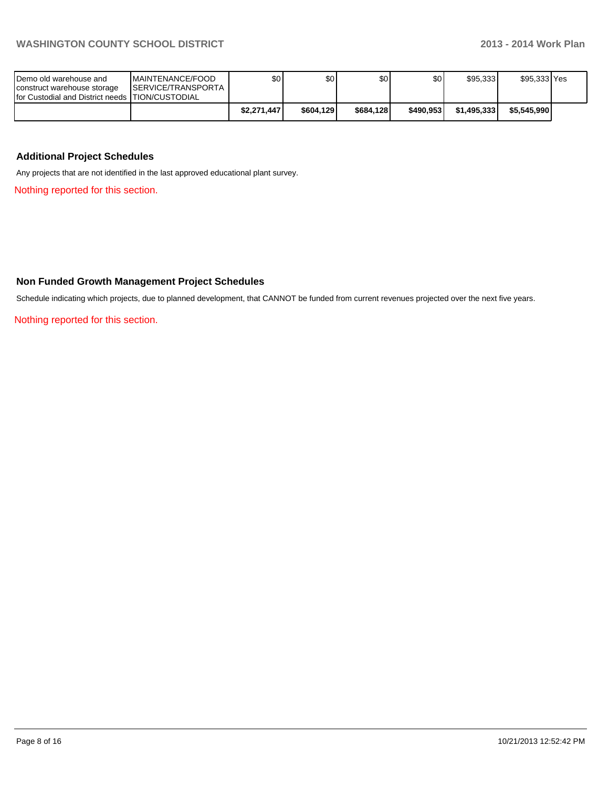| IDemo old warehouse and<br>construct warehouse storage<br>Ifor Custodial and District needs ITION/CUSTODIAL | <b>IMAINTENANCE/FOOD</b><br>SERVICE/TRANSPORTA | \$0         | \$O I     | ا30       | \$0       | \$95.333    | \$95.333 Yes |  |
|-------------------------------------------------------------------------------------------------------------|------------------------------------------------|-------------|-----------|-----------|-----------|-------------|--------------|--|
|                                                                                                             |                                                | \$2,271,447 | \$604.129 | \$684.128 | \$490.953 | \$1.495.333 | \$5,545,990  |  |

### **Additional Project Schedules**

Any projects that are not identified in the last approved educational plant survey.

Nothing reported for this section.

### **Non Funded Growth Management Project Schedules**

Schedule indicating which projects, due to planned development, that CANNOT be funded from current revenues projected over the next five years.

Nothing reported for this section.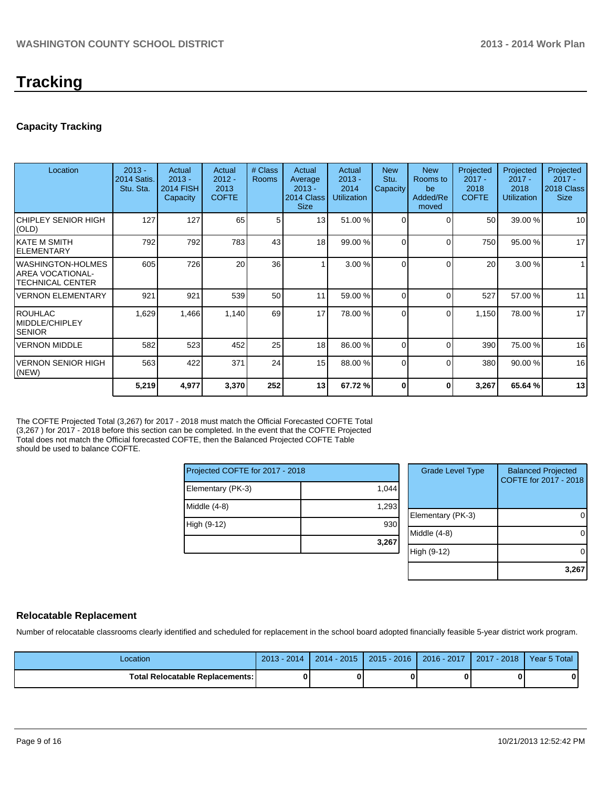# **Tracking**

## **Capacity Tracking**

| Location                                                         | $2013 -$<br>2014 Satis.<br>Stu. Sta. | Actual<br>$2013 -$<br><b>2014 FISH</b><br>Capacity | Actual<br>$2012 -$<br>2013<br><b>COFTE</b> | # Class<br><b>Rooms</b> | Actual<br>Average<br>$2013 -$<br>2014 Class<br><b>Size</b> | Actual<br>$2013 -$<br>2014<br><b>Utilization</b> | <b>New</b><br>Stu.<br>Capacity | <b>New</b><br>Rooms to<br>be<br>Added/Re<br>moved | Projected<br>$2017 -$<br>2018<br><b>COFTE</b> | Projected<br>$2017 -$<br>2018<br><b>Utilization</b> | Projected<br>$2017 -$<br>2018 Class<br><b>Size</b> |
|------------------------------------------------------------------|--------------------------------------|----------------------------------------------------|--------------------------------------------|-------------------------|------------------------------------------------------------|--------------------------------------------------|--------------------------------|---------------------------------------------------|-----------------------------------------------|-----------------------------------------------------|----------------------------------------------------|
| <b>CHIPLEY SENIOR HIGH</b><br>(OLD)                              | 127                                  | 127                                                | 65                                         | 51                      | 13 <sup>1</sup>                                            | 51.00 %                                          | $\Omega$                       | $\Omega$                                          | 50                                            | 39.00 %                                             | 10                                                 |
| IKATE M SMITH<br>IELEMENTARY                                     | 792                                  | 792                                                | 783                                        | 43                      | 18 <sup>1</sup>                                            | 99.00 %                                          | 0                              | $\Omega$                                          | 750                                           | 95.00 %                                             | 17                                                 |
| WASHINGTON-HOLMES<br><b>AREA VOCATIONAL-</b><br>TECHNICAL CENTER | 605                                  | 726                                                | 20                                         | 36                      |                                                            | 3.00%                                            | U                              | $\Omega$                                          | 20                                            | 3.00%                                               | $\mathbf{1}$                                       |
| <b>VERNON ELEMENTARY</b>                                         | 921                                  | 921                                                | 539                                        | 50                      | 11                                                         | 59.00 %                                          | 0                              | $\Omega$                                          | 527                                           | 57.00 %                                             | 11                                                 |
| IROUHLAC<br>MIDDLE/CHIPLEY<br><b>SENIOR</b>                      | 1,629                                | 1,466                                              | 1,140                                      | 69                      | 17                                                         | 78.00 %                                          | $\Omega$                       | $\Omega$                                          | 1,150                                         | 78.00 %                                             | 17                                                 |
| <b>VERNON MIDDLE</b>                                             | 582                                  | 523                                                | 452                                        | 25                      | 18 <sup>1</sup>                                            | 86.00 %                                          | 0                              | ∩                                                 | 390                                           | 75.00 %                                             | 16                                                 |
| <b>VERNON SENIOR HIGH</b><br>(NEW)                               | 563                                  | 422                                                | 371                                        | 24                      | 15                                                         | 88.00 %                                          | 0                              | $\Omega$                                          | 380                                           | 90.00 %                                             | 16                                                 |
|                                                                  | 5,219                                | 4,977                                              | 3,370                                      | 252                     | 13                                                         | 67.72 %                                          |                                | 0                                                 | 3,267                                         | 65.64 %                                             | 13                                                 |

The COFTE Projected Total (3,267) for 2017 - 2018 must match the Official Forecasted COFTE Total (3,267 ) for 2017 - 2018 before this section can be completed. In the event that the COFTE Projected Total does not match the Official forecasted COFTE, then the Balanced Projected COFTE Table should be used to balance COFTE.

| Projected COFTE for 2017 - 2018 |       |
|---------------------------------|-------|
| Elementary (PK-3)               | 1,044 |
| Middle $(4-8)$                  | 1,293 |
| High (9-12)                     | 930   |
|                                 | 3,267 |

| <b>Grade Level Type</b> | <b>Balanced Projected</b><br>COFTE for 2017 - 2018 |
|-------------------------|----------------------------------------------------|
| Elementary (PK-3)       |                                                    |
| Middle (4-8)            |                                                    |
| High (9-12)             |                                                    |
|                         | 3,26                                               |

## **Relocatable Replacement**

Number of relocatable classrooms clearly identified and scheduled for replacement in the school board adopted financially feasible 5-year district work program.

| Location                                 | $\sqrt{2014}$<br>$2013 -$ | 2014 - 2015 | $2015 - 2016$ | 2016 - 2017 | $2017 - 2018$ | Year 5 Total |
|------------------------------------------|---------------------------|-------------|---------------|-------------|---------------|--------------|
| <b>Total Relocatable Replacements: I</b> |                           |             |               |             |               |              |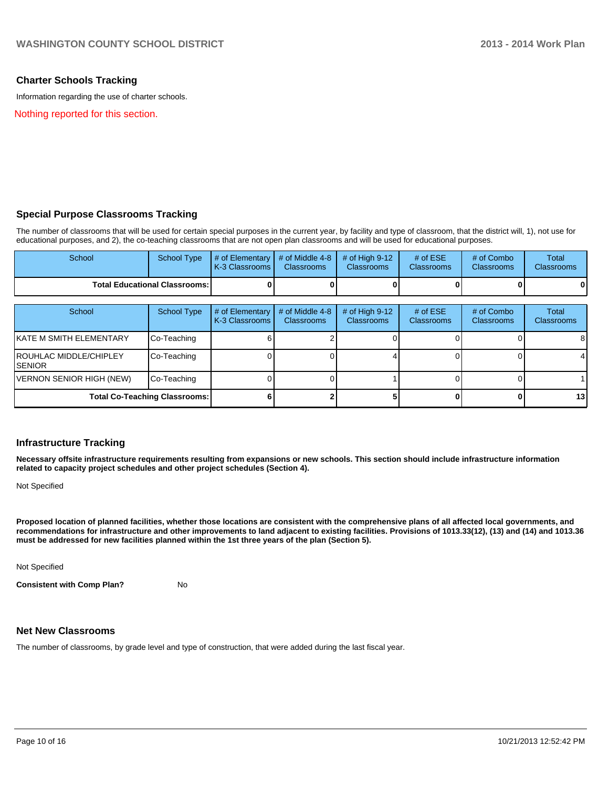### **Charter Schools Tracking**

Information regarding the use of charter schools.

Nothing reported for this section.

### **Special Purpose Classrooms Tracking**

The number of classrooms that will be used for certain special purposes in the current year, by facility and type of classroom, that the district will, 1), not use for educational purposes, and 2), the co-teaching classrooms that are not open plan classrooms and will be used for educational purposes.

| School                                 | School Type | $\parallel$ # of Elementary $\parallel$ # of Middle 4-8 $\parallel$ # of High 9-12<br><b>IK-3 Classrooms I</b> | <b>Classrooms</b> | <b>Classrooms</b> | # of $ESE$<br><b>Classrooms</b> | # of Combo<br><b>Classrooms</b> | Total<br><b>Classrooms</b> |
|----------------------------------------|-------------|----------------------------------------------------------------------------------------------------------------|-------------------|-------------------|---------------------------------|---------------------------------|----------------------------|
| <b>Total Educational Classrooms: I</b> |             |                                                                                                                |                   |                   |                                 | 0                               | 0                          |

| School                            | School Type                          | # of Elementary<br>K-3 Classrooms | # of Middle 4-8<br><b>Classrooms</b> | $#$ of High 9-12<br><b>Classrooms</b> | # of $ESE$<br><b>Classrooms</b> | # of Combo<br><b>Classrooms</b> | Total<br><b>Classrooms</b> |
|-----------------------------------|--------------------------------------|-----------------------------------|--------------------------------------|---------------------------------------|---------------------------------|---------------------------------|----------------------------|
| IKATE M SMITH ELEMENTARY          | Co-Teaching                          |                                   |                                      |                                       |                                 |                                 | 8                          |
| ROUHLAC MIDDLE/CHIPLEY<br>ISENIOR | Co-Teaching                          |                                   |                                      |                                       |                                 |                                 |                            |
| VERNON SENIOR HIGH (NEW)          | Co-Teaching                          |                                   |                                      |                                       |                                 |                                 |                            |
|                                   | <b>Total Co-Teaching Classrooms:</b> |                                   |                                      |                                       |                                 |                                 | 13                         |

### **Infrastructure Tracking**

**Necessary offsite infrastructure requirements resulting from expansions or new schools. This section should include infrastructure information related to capacity project schedules and other project schedules (Section 4).**

Not Specified

**Proposed location of planned facilities, whether those locations are consistent with the comprehensive plans of all affected local governments, and recommendations for infrastructure and other improvements to land adjacent to existing facilities. Provisions of 1013.33(12), (13) and (14) and 1013.36 must be addressed for new facilities planned within the 1st three years of the plan (Section 5).**

Not Specified

**Consistent with Comp Plan?** No

### **Net New Classrooms**

The number of classrooms, by grade level and type of construction, that were added during the last fiscal year.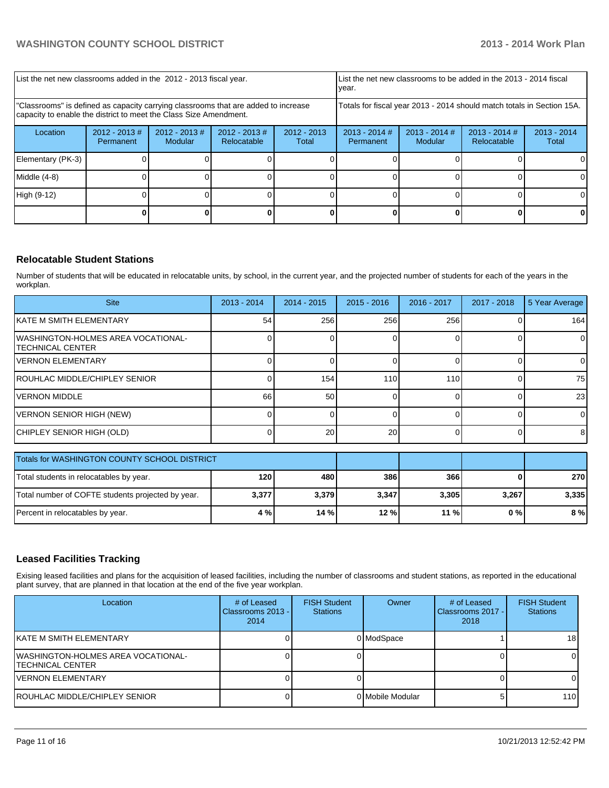| List the net new classrooms added in the 2012 - 2013 fiscal year.                                                                                       |                               |                            |                                | List the net new classrooms to be added in the 2013 - 2014 fiscal<br>Ivear. |                                                                        |                            |                                |                        |
|---------------------------------------------------------------------------------------------------------------------------------------------------------|-------------------------------|----------------------------|--------------------------------|-----------------------------------------------------------------------------|------------------------------------------------------------------------|----------------------------|--------------------------------|------------------------|
| "Classrooms" is defined as capacity carrying classrooms that are added to increase<br>capacity to enable the district to meet the Class Size Amendment. |                               |                            |                                |                                                                             | Totals for fiscal year 2013 - 2014 should match totals in Section 15A. |                            |                                |                        |
| Location                                                                                                                                                | $2012 - 2013 \#$<br>Permanent | $2012 - 2013$ #<br>Modular | $2012 - 2013$ #<br>Relocatable | $2012 - 2013$<br>Total                                                      | $2013 - 2014$ #<br>Permanent                                           | $2013 - 2014$ #<br>Modular | $2013 - 2014$ #<br>Relocatable | $2013 - 2014$<br>Total |
| Elementary (PK-3)                                                                                                                                       |                               |                            |                                |                                                                             |                                                                        |                            |                                |                        |
| Middle $(4-8)$                                                                                                                                          |                               |                            |                                |                                                                             |                                                                        |                            |                                | ΟI                     |
| High (9-12)                                                                                                                                             |                               |                            |                                |                                                                             |                                                                        |                            |                                | 0                      |
|                                                                                                                                                         |                               |                            |                                |                                                                             |                                                                        |                            |                                |                        |

## **Relocatable Student Stations**

Number of students that will be educated in relocatable units, by school, in the current year, and the projected number of students for each of the years in the workplan.

| <b>Site</b>                                                     | $2013 - 2014$ | $2014 - 2015$   | $2015 - 2016$ | 2016 - 2017 | $2017 - 2018$ | 5 Year Average |
|-----------------------------------------------------------------|---------------|-----------------|---------------|-------------|---------------|----------------|
| IKATE M SMITH ELEMENTARY                                        | 54            | 256             | 256           | 256         |               | 164            |
| <b>IWASHINGTON-HOLMES AREA VOCATIONAL-</b><br>ITECHNICAL CENTER |               |                 |               |             |               | $\overline{0}$ |
| <b>IVERNON ELEMENTARY</b>                                       |               |                 |               |             |               | ΟI             |
| <b>ROUHLAC MIDDLE/CHIPLEY SENIOR</b>                            |               | 154             | 110           | 110         |               | 75             |
| IVERNON MIDDLE                                                  | 66            | 50              |               |             |               | 23             |
| VERNON SENIOR HIGH (NEW)                                        |               |                 |               |             |               | $\Omega$       |
| CHIPLEY SENIOR HIGH (OLD)                                       |               | 20 <sup>1</sup> | 20            |             |               | 81             |

| Totals for WASHINGTON COUNTY SCHOOL DISTRICT      |            |       |       |        |       |       |
|---------------------------------------------------|------------|-------|-------|--------|-------|-------|
| Total students in relocatables by year.           | <b>120</b> | 480   | 386   | 366    |       | 270   |
| Total number of COFTE students projected by year. | 3,377      | 3,379 | 3,347 | 3,305  | 3.267 | 3,335 |
| Percent in relocatables by year.                  | 4 % l      | 14%   | 12%   | $11\%$ | 0 % I | 8%    |

### **Leased Facilities Tracking**

Exising leased facilities and plans for the acquisition of leased facilities, including the number of classrooms and student stations, as reported in the educational plant survey, that are planned in that location at the end of the five year workplan.

| Location                                                       | # of Leased<br>Classrooms 2013 -<br>2014 | <b>FISH Student</b><br><b>Stations</b> | Owner            | # of Leased<br>l Classrooms 2017 - I<br>2018 | <b>FISH Student</b><br><b>Stations</b> |
|----------------------------------------------------------------|------------------------------------------|----------------------------------------|------------------|----------------------------------------------|----------------------------------------|
| IKATE M SMITH ELEMENTARY                                       |                                          |                                        | 0 ModSpace       |                                              | 18                                     |
| IWASHINGTON-HOLMES AREA VOCATIONAL-<br><b>TECHNICAL CENTER</b> |                                          |                                        |                  |                                              |                                        |
| <b>VERNON ELEMENTARY</b>                                       |                                          |                                        |                  |                                              |                                        |
| IROUHLAC MIDDLE/CHIPLEY SENIOR                                 |                                          |                                        | 0 Mobile Modular |                                              | 110 <sup>1</sup>                       |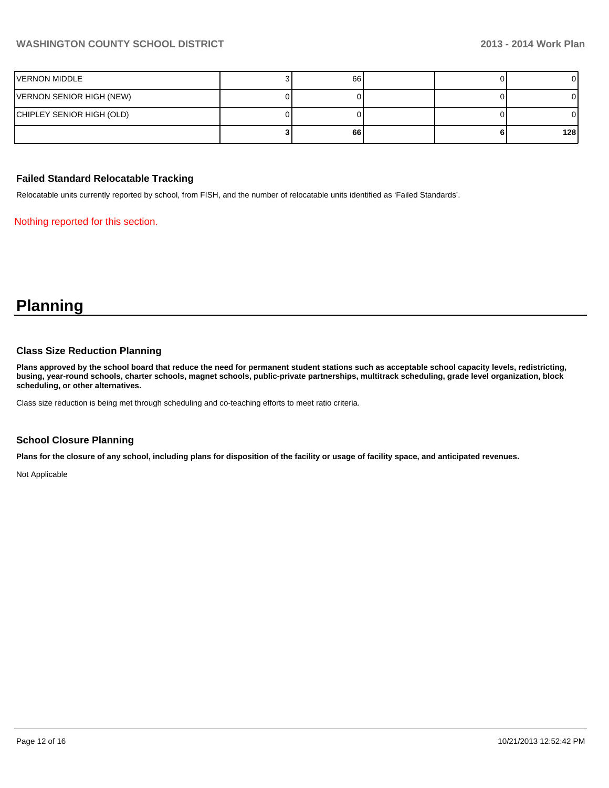## **WASHINGTON COUNTY SCHOOL DISTRICT 2013 - 2014 Work Plan**

| VERNON MIDDLE             | 66 I |  |     |
|---------------------------|------|--|-----|
| VERNON SENIOR HIGH (NEW)  |      |  |     |
| CHIPLEY SENIOR HIGH (OLD) |      |  |     |
|                           | 66   |  | 128 |

### **Failed Standard Relocatable Tracking**

Relocatable units currently reported by school, from FISH, and the number of relocatable units identified as 'Failed Standards'.

Nothing reported for this section.

# **Planning**

### **Class Size Reduction Planning**

**Plans approved by the school board that reduce the need for permanent student stations such as acceptable school capacity levels, redistricting, busing, year-round schools, charter schools, magnet schools, public-private partnerships, multitrack scheduling, grade level organization, block scheduling, or other alternatives.**

Class size reduction is being met through scheduling and co-teaching efforts to meet ratio criteria.

### **School Closure Planning**

**Plans for the closure of any school, including plans for disposition of the facility or usage of facility space, and anticipated revenues.**

Not Applicable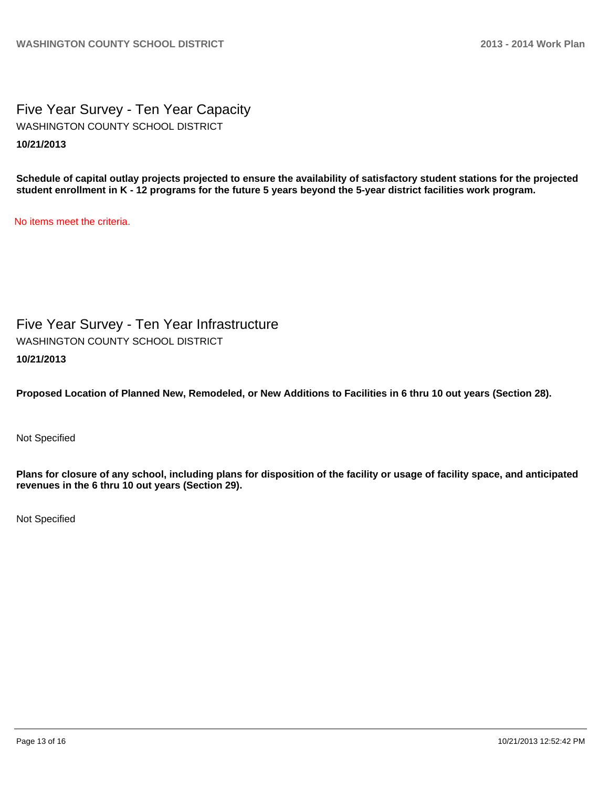Five Year Survey - Ten Year Capacity **10/21/2013** WASHINGTON COUNTY SCHOOL DISTRICT

**Schedule of capital outlay projects projected to ensure the availability of satisfactory student stations for the projected student enrollment in K - 12 programs for the future 5 years beyond the 5-year district facilities work program.**

No items meet the criteria.

Five Year Survey - Ten Year Infrastructure **10/21/2013** WASHINGTON COUNTY SCHOOL DISTRICT

**Proposed Location of Planned New, Remodeled, or New Additions to Facilities in 6 thru 10 out years (Section 28).**

Not Specified

**Plans for closure of any school, including plans for disposition of the facility or usage of facility space, and anticipated revenues in the 6 thru 10 out years (Section 29).**

Not Specified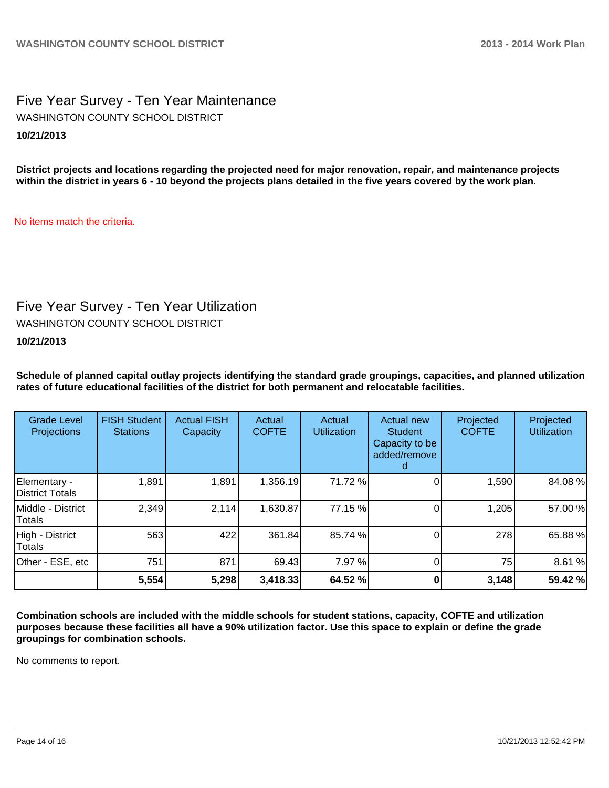# Five Year Survey - Ten Year Maintenance **10/21/2013** WASHINGTON COUNTY SCHOOL DISTRICT

**District projects and locations regarding the projected need for major renovation, repair, and maintenance projects within the district in years 6 - 10 beyond the projects plans detailed in the five years covered by the work plan.**

No items match the criteria.

# Five Year Survey - Ten Year Utilization

WASHINGTON COUNTY SCHOOL DISTRICT

## **10/21/2013**

**Schedule of planned capital outlay projects identifying the standard grade groupings, capacities, and planned utilization rates of future educational facilities of the district for both permanent and relocatable facilities.**

| <b>Grade Level</b><br><b>Projections</b> | <b>FISH Student</b><br><b>Stations</b> | <b>Actual FISH</b><br>Capacity | Actual<br><b>COFTE</b> | Actual<br><b>Utilization</b> | Actual new<br><b>Student</b><br>Capacity to be<br>added/remove | Projected<br><b>COFTE</b> | Projected<br><b>Utilization</b> |
|------------------------------------------|----------------------------------------|--------------------------------|------------------------|------------------------------|----------------------------------------------------------------|---------------------------|---------------------------------|
| Elementary -<br>District Totals          | 1,891                                  | 1,891                          | 1,356.19               | 71.72 %                      |                                                                | 1,590                     | 84.08%                          |
| Middle - District<br>Totals              | 2,349                                  | 2,114                          | 1,630.87               | 77.15 %                      |                                                                | 1,205                     | 57.00 %                         |
| High - District<br>Totals                | 563                                    | 422                            | 361.84                 | 85.74 %                      |                                                                | 278                       | 65.88%                          |
| Other - ESE, etc                         | 751                                    | 871                            | 69.43                  | 7.97 %                       |                                                                | 75                        | 8.61%                           |
|                                          | 5,554                                  | 5,298                          | 3,418.33               | 64.52 %                      |                                                                | 3,148                     | 59.42 %                         |

**Combination schools are included with the middle schools for student stations, capacity, COFTE and utilization purposes because these facilities all have a 90% utilization factor. Use this space to explain or define the grade groupings for combination schools.**

No comments to report.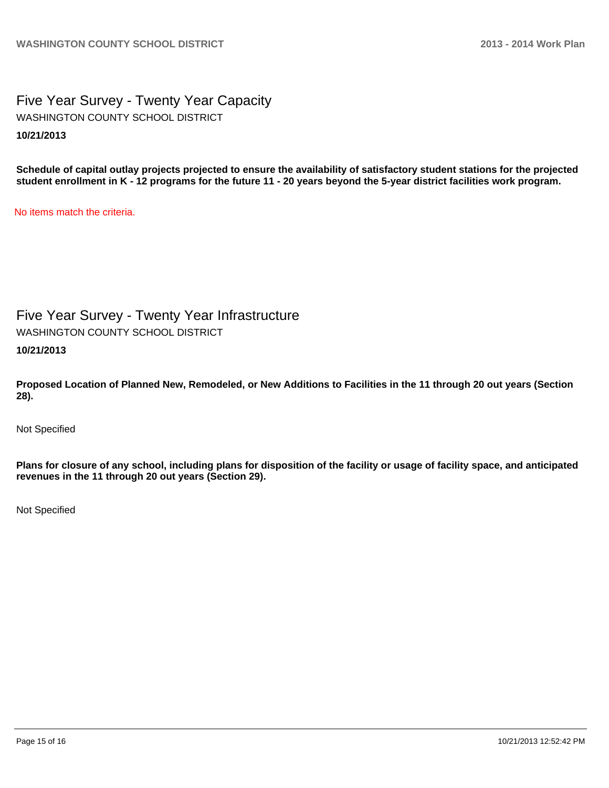Five Year Survey - Twenty Year Capacity **10/21/2013** WASHINGTON COUNTY SCHOOL DISTRICT

**Schedule of capital outlay projects projected to ensure the availability of satisfactory student stations for the projected student enrollment in K - 12 programs for the future 11 - 20 years beyond the 5-year district facilities work program.**

No items match the criteria.

Five Year Survey - Twenty Year Infrastructure

WASHINGTON COUNTY SCHOOL DISTRICT

**10/21/2013**

**Proposed Location of Planned New, Remodeled, or New Additions to Facilities in the 11 through 20 out years (Section 28).**

Not Specified

**Plans for closure of any school, including plans for disposition of the facility or usage of facility space, and anticipated revenues in the 11 through 20 out years (Section 29).**

Not Specified